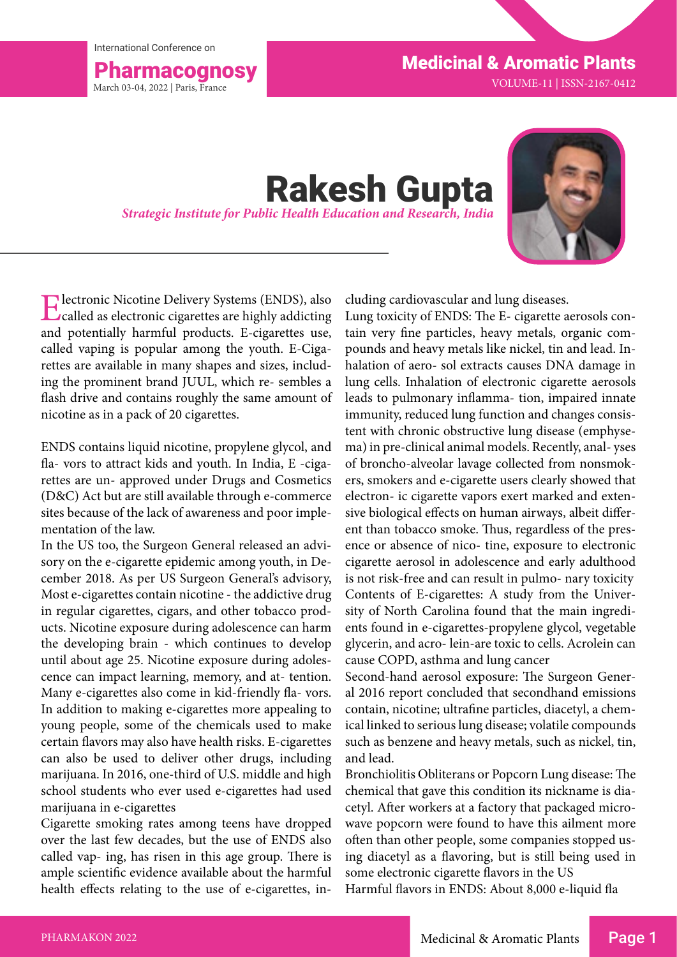International Conference on



Pharmacognosy Medicinal & Aromatic Plants

VOLUME-11 | ISSN-2167-0412

## **Rakesh Gupta** *Strategic Institute for Public Health Education and Research, India*



Electronic Nicotine Delivery Systems (ENDS), also called as electronic cigarettes are highly addicting and potentially harmful products. E-cigarettes use, called vaping is popular among the youth. E-Cigarettes are available in many shapes and sizes, including the prominent brand JUUL, which re- sembles a flash drive and contains roughly the same amount of nicotine as in a pack of 20 cigarettes.

ENDS contains liquid nicotine, propylene glycol, and fla- vors to attract kids and youth. In India, E -cigarettes are un- approved under Drugs and Cosmetics (D&C) Act but are still available through e-commerce sites because of the lack of awareness and poor implementation of the law.

In the US too, the Surgeon General released an advisory on the e-cigarette epidemic among youth, in December 2018. As per US Surgeon General's advisory, Most e-cigarettes contain nicotine - the addictive drug in regular cigarettes, cigars, and other tobacco products. Nicotine exposure during adolescence can harm the developing brain - which continues to develop until about age 25. Nicotine exposure during adolescence can impact learning, memory, and at- tention. Many e-cigarettes also come in kid-friendly fla- vors. In addition to making e-cigarettes more appealing to young people, some of the chemicals used to make certain flavors may also have health risks. E-cigarettes can also be used to deliver other drugs, including marijuana. In 2016, one-third of U.S. middle and high school students who ever used e-cigarettes had used marijuana in e-cigarettes

Cigarette smoking rates among teens have dropped over the last few decades, but the use of ENDS also called vap- ing, has risen in this age group. There is ample scientific evidence available about the harmful health effects relating to the use of e-cigarettes, including cardiovascular and lung diseases.

Lung toxicity of ENDS: The E- cigarette aerosols contain very fine particles, heavy metals, organic compounds and heavy metals like nickel, tin and lead. Inhalation of aero- sol extracts causes DNA damage in lung cells. Inhalation of electronic cigarette aerosols leads to pulmonary inflamma- tion, impaired innate immunity, reduced lung function and changes consistent with chronic obstructive lung disease (emphysema) in pre-clinical animal models. Recently, anal- yses of broncho-alveolar lavage collected from nonsmokers, smokers and e-cigarette users clearly showed that electron- ic cigarette vapors exert marked and extensive biological effects on human airways, albeit different than tobacco smoke. Thus, regardless of the presence or absence of nico- tine, exposure to electronic cigarette aerosol in adolescence and early adulthood is not risk-free and can result in pulmo- nary toxicity Contents of E-cigarettes: A study from the University of North Carolina found that the main ingredients found in e-cigarettes-propylene glycol, vegetable glycerin, and acro- lein-are toxic to cells. Acrolein can cause COPD, asthma and lung cancer

Second-hand aerosol exposure: The Surgeon General 2016 report concluded that secondhand emissions contain, nicotine; ultrafine particles, diacetyl, a chemical linked to serious lung disease; volatile compounds such as benzene and heavy metals, such as nickel, tin, and lead.

Bronchiolitis Obliterans or Popcorn Lung disease: The chemical that gave this condition its nickname is diacetyl. After workers at a factory that packaged microwave popcorn were found to have this ailment more often than other people, some companies stopped using diacetyl as a flavoring, but is still being used in some electronic cigarette flavors in the US

Harmful flavors in ENDS: About 8,000 e-liquid fla

Page 1